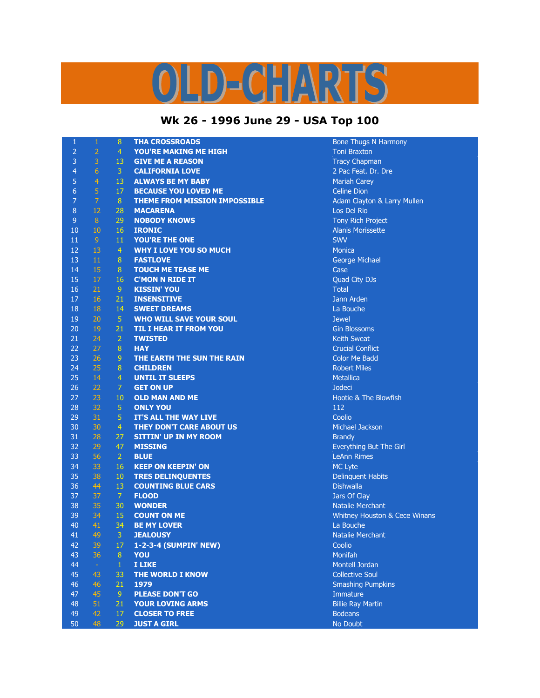## OLD-CHARTS

## **Wk 26 - 1996 June 29 - USA Top 100**

| $\mathbf{1}$   | $\mathbf 1$    | 8              | <b>THA CROSSROADS</b>                | <b>Bone Thugs N Harmony</b>   |
|----------------|----------------|----------------|--------------------------------------|-------------------------------|
| $\overline{2}$ | $\overline{2}$ | $\overline{4}$ | <b>YOU'RE MAKING ME HIGH</b>         | <b>Toni Braxton</b>           |
| 3              | 3              | 13             | <b>GIVE ME A REASON</b>              | <b>Tracy Chapman</b>          |
| $\overline{4}$ | $\overline{6}$ | $\overline{3}$ | <b>CALIFORNIA LOVE</b>               | 2 Pac Feat. Dr. Dre           |
| 5              | $\overline{4}$ | 13             | <b>ALWAYS BE MY BABY</b>             | <b>Mariah Carey</b>           |
| 6              | $\overline{5}$ | 17             | <b>BECAUSE YOU LOVED ME</b>          | <b>Celine Dion</b>            |
| 7              | $\overline{7}$ | 8              | <b>THEME FROM MISSION IMPOSSIBLE</b> | Adam Clayton & Larry Mullen   |
| $\, 8$         | 12             | 28             | <b>MACARENA</b>                      | Los Del Rio                   |
| $\mathsf 9$    | $\bf 8$        | 29             | <b>NOBODY KNOWS</b>                  | Tony Rich Project             |
| 10             | 10             | 16             | <b>IRONIC</b>                        | <b>Alanis Morissette</b>      |
| 11             | $\overline{9}$ | 11             | YOU'RE THE ONE                       | <b>SWV</b>                    |
| 12             | 13             | $\overline{4}$ | <b>WHY I LOVE YOU SO MUCH</b>        | <b>Monica</b>                 |
| 13             | $11\,$         | 8              | <b>FASTLOVE</b>                      | George Michael                |
| 14             | 15             | 8              | <b>TOUCH ME TEASE ME</b>             | Case                          |
| 15             | 17             | 16             | <b>C'MON N RIDE IT</b>               | Quad City DJs                 |
| 16             | 21             | $\overline{9}$ | <b>KISSIN' YOU</b>                   | <b>Total</b>                  |
| 17             | 16             | 21             | <b>INSENSITIVE</b>                   | Jann Arden                    |
| 18             | 18             | 14             | <b>SWEET DREAMS</b>                  | La Bouche                     |
| 19             | 20             | $\overline{5}$ | <b>WHO WILL SAVE YOUR SOUL</b>       | <b>Jewel</b>                  |
| 20             | 19             | 21             | <b>TIL I HEAR IT FROM YOU</b>        | <b>Gin Blossoms</b>           |
| 21             | 24             | $\overline{2}$ | <b>TWISTED</b>                       | <b>Keith Sweat</b>            |
| 22             | 27             | 8              | <b>HAY</b>                           | <b>Crucial Conflict</b>       |
| 23             | 26             | $\overline{9}$ | THE EARTH THE SUN THE RAIN           | <b>Color Me Badd</b>          |
| 24             | 25             | $\, 8$         | <b>CHILDREN</b>                      | <b>Robert Miles</b>           |
| 25             | 14             | $\overline{4}$ | <b>UNTIL IT SLEEPS</b>               | <b>Metallica</b>              |
| 26             | 22             | 7              | <b>GET ON UP</b>                     | <b>Jodeci</b>                 |
| 27             | 23             | 10             | <b>OLD MAN AND ME</b>                | Hootie & The Blowfish         |
| 28             | 32             | $\sqrt{5}$     | <b>ONLY YOU</b>                      | 112                           |
| 29             | 31             | 5              | IT'S ALL THE WAY LIVE                | Coolio                        |
| 30             | 30             | $\overline{4}$ | THEY DON'T CARE ABOUT US             | Michael Jackson               |
| 31             | 28             | 27             | <b>SITTIN' UP IN MY ROOM</b>         | <b>Brandy</b>                 |
| 32             | 29             | 47             | <b>MISSING</b>                       | Everything But The Girl       |
| 33             | 56             | $\overline{2}$ | <b>BLUE</b>                          | <b>LeAnn Rimes</b>            |
| 34             | 33             | 16             | <b>KEEP ON KEEPIN' ON</b>            | <b>MC Lyte</b>                |
| 35             | 38             | 10             | <b>TRES DELINQUENTES</b>             | <b>Delinquent Habits</b>      |
| 36             | 44             | 13             | <b>COUNTING BLUE CARS</b>            | <b>Dishwalla</b>              |
| 37             | 37             | $\overline{7}$ | <b>FLOOD</b>                         | Jars Of Clay                  |
| 38             | 35             | 30             | <b>WONDER</b>                        | <b>Natalie Merchant</b>       |
| 39             | 34             | 15             | <b>COUNT ON ME</b>                   | Whitney Houston & Cece Winans |
| 40             | 41             | 34             | <b>BE MY LOVER</b>                   | La Bouche                     |
| 41             | 49             | 3              | <b>JEALOUSY</b>                      | Natalie Merchant              |
| 42             | 39             | 17             | 1-2-3-4 (SUMPIN' NEW)                | Coolio                        |
| 43             | 36             | 8              | YOU                                  | Monifah                       |
| 44             | $\omega$       | $\mathbf{1}$   | <b>I LIKE</b>                        | Montell Jordan                |
| 45             | 43             | 33             | <b>THE WORLD I KNOW</b>              | <b>Collective Soul</b>        |
| 46             | 46             | 21             | 1979                                 | <b>Smashing Pumpkins</b>      |
| 47             | 45             | 9              | <b>PLEASE DON'T GO</b>               | Immature                      |
| 48             | 51             | 21             | <b>YOUR LOVING ARMS</b>              | <b>Billie Ray Martin</b>      |
| 49             | 42             | 17             | <b>CLOSER TO FREE</b>                | <b>Bodeans</b>                |
| 50             | 48             | 29             | <b>JUST A GIRL</b>                   | No Doubt                      |